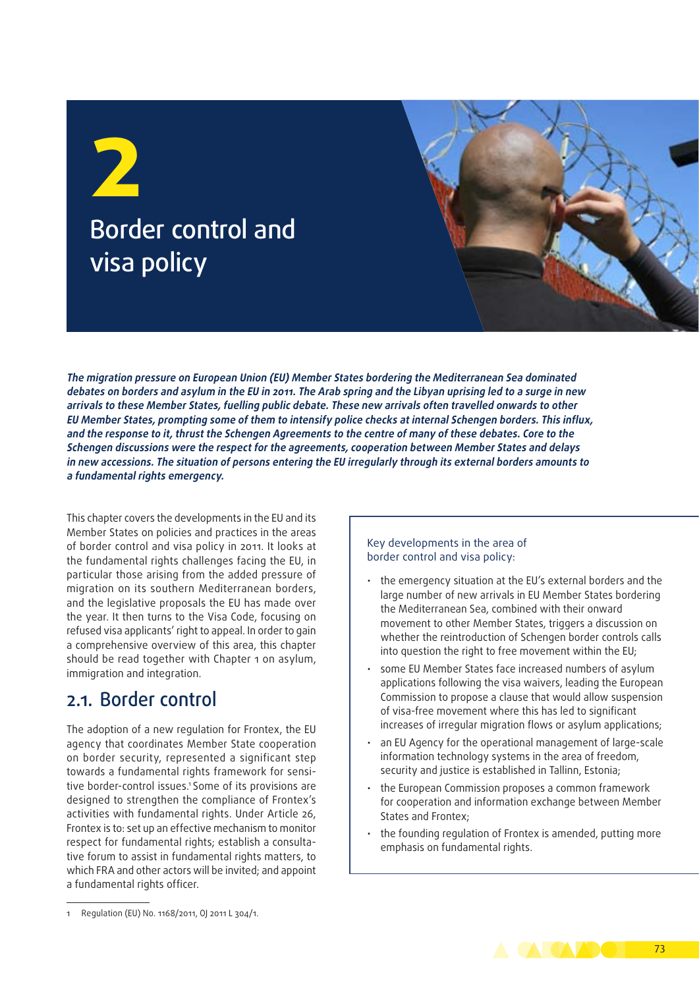Border control and visa policy

**2**

**The migration pressure on European Union (EU) Member States bordering the Mediterranean Sea dominated debates on borders and asylum in the EU in 2011. The Arab spring and the Libyan uprising led to a surge in new arrivals to these Member States, fuelling public debate. These new arrivals often travelled onwards to other EU Member States, prompting some of them to intensify police checks at internal Schengen borders. This influx, and the response to it, thrust the Schengen Agreements to the centre of many of these debates. Core to the Schengen discussions were the respect for the agreements, cooperation between Member States and delays in new accessions. The situation of persons entering the EU irregularly through its external borders amounts to a fundamental rights emergency.**

This chapter covers the developments in the EU and its Member States on policies and practices in the areas of border control and visa policy in 2011. It looks at the fundamental rights challenges facing the EU, in particular those arising from the added pressure of migration on its southern Mediterranean borders, and the legislative proposals the EU has made over the year. It then turns to the Visa Code, focusing on refused visa applicants' right to appeal. In order to gain a comprehensive overview of this area, this chapter should be read together with Chapter 1 on asylum, immigration and integration.

# 2.1. Border control

The adoption of a new regulation for Frontex, the EU agency that coordinates Member State cooperation on border security, represented a significant step towards a fundamental rights framework for sensitive border-control issues.<sup>1</sup> Some of its provisions are designed to strengthen the compliance of Frontex's activities with fundamental rights. Under Article 26, Frontex is to: set up an effective mechanism to monitor respect for fundamental rights; establish a consultative forum to assist in fundamental rights matters, to which FRA and other actors will be invited; and appoint a fundamental rights officer.

Key developments in the area of border control and visa policy:

- the emergency situation at the EU's external borders and the large number of new arrivals in EU Member States bordering the Mediterranean Sea, combined with their onward movement to other Member States, triggers a discussion on whether the reintroduction of Schengen border controls calls into question the right to free movement within the EU;
- some EU Member States face increased numbers of asylum applications following the visa waivers, leading the European Commission to propose a clause that would allow suspension of visa-free movement where this has led to significant increases of irregular migration flows or asylum applications;
- an EU Agency for the operational management of large-scale information technology systems in the area of freedom, security and justice is established in Tallinn, Estonia;
- the European Commission proposes a common framework for cooperation and information exchange between Member States and Frontex;
- the founding regulation of Frontex is amended, putting more emphasis on fundamental rights.



<sup>1</sup> Regulation (EU) No. 1168/2011, OJ 2011 L 304/1.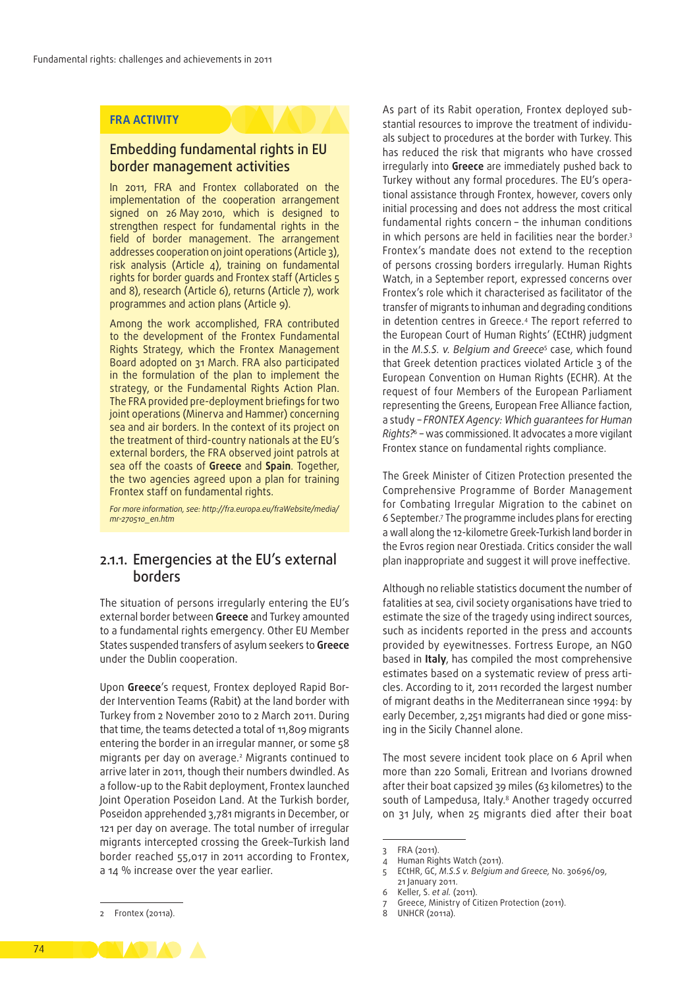#### **FRA ACTIVITY**

#### Embedding fundamental rights in EU border management activities

In 2011, FRA and Frontex collaborated on the implementation of the cooperation arrangement signed on 26 May 2010, which is designed to strengthen respect for fundamental rights in the field of border management. The arrangement addresses cooperation on joint operations (Article 3), risk analysis (Article 4), training on fundamental rights for border guards and Frontex staff (Articles 5 and 8), research (Article 6), returns (Article 7), work programmes and action plans (Article 9).

Among the work accomplished, FRA contributed to the development of the Frontex Fundamental Rights Strategy, which the Frontex Management Board adopted on 31 March. FRA also participated in the formulation of the plan to implement the strategy, or the Fundamental Rights Action Plan. The FRA provided pre‑deployment briefings for two joint operations (Minerva and Hammer) concerning sea and air borders. In the context of its project on the treatment of third‑country nationals at the EU's external borders, the FRA observed joint patrols at sea off the coasts of **Greece** and **Spain**. Together, the two agencies agreed upon a plan for training Frontex staff on fundamental rights.

*For more information, see: http://fra.europa.eu/fraWebsite/media/ mr-270510\_en.htm*

#### 2.1.1. Emergencies at the EU's external borders

The situation of persons irregularly entering the EU's external border between **Greece** and Turkey amounted to a fundamental rights emergency. Other EU Member States suspended transfers of asylum seekers to **Greece** under the Dublin cooperation.

Upon **Greece**'s request, Frontex deployed Rapid Bor‑ der Intervention Teams (Rabit) at the land border with Turkey from 2 November 2010 to 2 March 2011. During that time, the teams detected a total of 11,809 migrants entering the border in an irregular manner, or some 58 migrants per day on average.2 Migrants continued to arrive later in 2011, though their numbers dwindled. As a follow‑up to the Rabit deployment, Frontex launched Joint Operation Poseidon Land. At the Turkish border, Poseidon apprehended 3,781 migrants in December, or 121 per day on average. The total number of irregular migrants intercepted crossing the Greek–Turkish land border reached 55,017 in 2011 according to Frontex, a 14 % increase over the year earlier.

As part of its Rabit operation, Frontex deployed substantial resources to improve the treatment of individuals subject to procedures at the border with Turkey. This has reduced the risk that migrants who have crossed irregularly into **Greece** are immediately pushed back to Turkey without any formal procedures. The EU's operational assistance through Frontex, however, covers only initial processing and does not address the most critical fundamental rights concern – the inhuman conditions in which persons are held in facilities near the border.3 Frontex's mandate does not extend to the reception of persons crossing borders irregularly. Human Rights Watch, in a September report, expressed concerns over Frontex's role which it characterised as facilitator of the transfer of migrants to inhuman and degrading conditions in detention centres in Greece.4 The report referred to the European Court of Human Rights' (ECtHR) judgment in the *M.S.S. v. Belgium and Greece*<sup>5</sup> case, which found that Greek detention practices violated Article 3 of the European Convention on Human Rights (ECHR). At the request of four Members of the European Parliament representing the Greens, European Free Alliance faction, a study – *FRONTEX Agency: Which guarantees for Human Rights?*<sup>6</sup> – was commissioned. It advocates a more vigilant Frontex stance on fundamental rights compliance.

The Greek Minister of Citizen Protection presented the Comprehensive Programme of Border Management for Combating Irregular Migration to the cabinet on 6 September.7 The programme includes plans for erecting a wall along the 12-kilometre Greek‑Turkish land border in the Evros region near Orestiada. Critics consider the wall plan inappropriate and suggest it will prove ineffective.

Although no reliable statistics document the number of fatalities at sea, civil society organisations have tried to estimate the size of the tragedy using indirect sources, such as incidents reported in the press and accounts provided by eyewitnesses. Fortress Europe, an NGO based in **Italy**, has compiled the most comprehensive estimates based on a systematic review of press articles. According to it, 2011 recorded the largest number of migrant deaths in the Mediterranean since 1994: by early December, 2,251 migrants had died or gone missing in the Sicily Channel alone.

The most severe incident took place on 6 April when more than 220 Somali, Eritrean and Ivorians drowned after their boat capsized 39 miles (63 kilometres) to the south of Lampedusa, Italy.8 Another tragedy occurred on 31 July, when 25 migrants died after their boat

<sup>3</sup> FRA (2011).

<sup>4</sup> Human Rights Watch (2011).

<sup>5</sup> ECtHR, GC, *M.S.S v. Belgium and Greece,* No. 30696/09, 21 January 2011.

<sup>6</sup> Keller, S. *et al.* (2011).

<sup>7</sup> Greece, Ministry of Citizen Protection (2011).

UNHCR (2011a).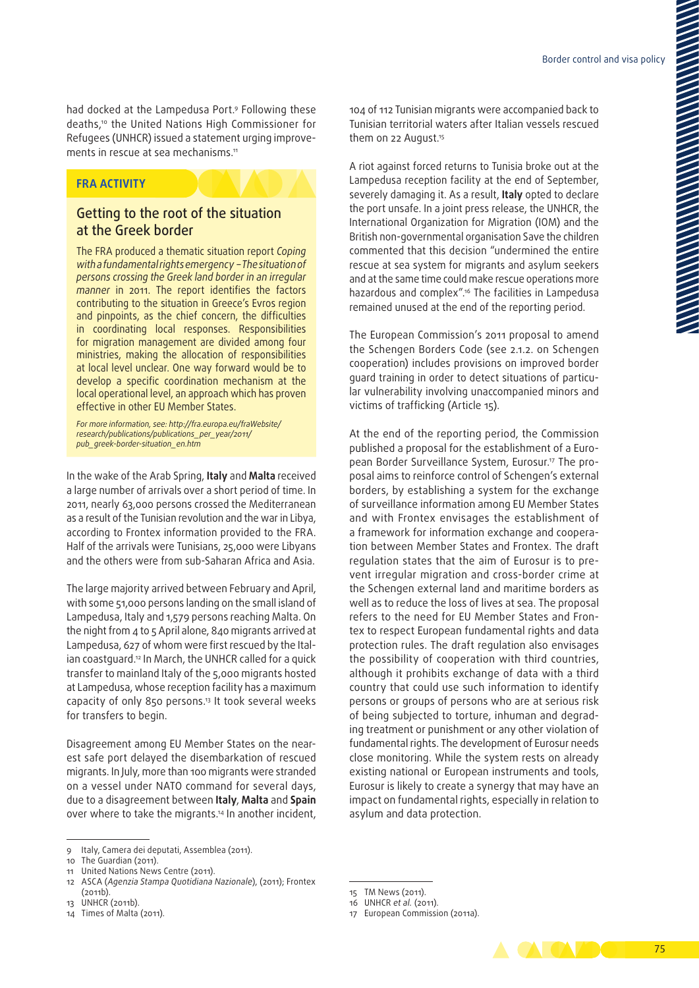had docked at the Lampedusa Port.9 Following these deaths,10 the United Nations High Commissioner for Refugees (UNHCR) issued a statement urging improvements in rescue at sea mechanisms.<sup>11</sup>

#### **FRA ACTIVITY**

#### Getting to the root of the situation at the Greek border

The FRA produced a thematic situation report *Coping with a fundamental rights emergency – The situation of persons crossing the Greek land border in an irregular manner* in 2011. The report identifies the factors contributing to the situation in Greece's Evros region and pinpoints, as the chief concern, the difficulties in coordinating local responses. Responsibilities for migration management are divided among four ministries, making the allocation of responsibilities at local level unclear. One way forward would be to develop a specific coordination mechanism at the local operational level, an approach which has proven effective in other EU Member States.

*For more information, see: http://fra.europa.eu/fraWebsite/ research/publications/publications\_per\_year/2011/ pub\_greek-border-situation\_en.htm*

In the wake of the Arab Spring, **Italy** and **Malta** received a large number of arrivals over a short period of time. In 2011, nearly 63,000 persons crossed the Mediterranean as a result of the Tunisian revolution and the war in Libya, according to Frontex information provided to the FRA. Half of the arrivals were Tunisians, 25,000 were Libyans and the others were from sub‑Saharan Africa and Asia.

The large majority arrived between February and April, with some 51,000 persons landing on the small island of Lampedusa, Italy and 1,579 persons reaching Malta. On the night from 4 to 5 April alone, 840 migrants arrived at Lampedusa, 627 of whom were first rescued by the Italian coastguard.<sup>12</sup> In March, the UNHCR called for a quick transfer to mainland Italy of the 5,000 migrants hosted at Lampedusa, whose reception facility has a maximum capacity of only 850 persons.13 It took several weeks for transfers to begin.

Disagreement among EU Member States on the nearest safe port delayed the disembarkation of rescued migrants. In July, more than 100 migrants were stranded on a vessel under NATO command for several days, due to a disagreement between **Italy**, **Malta** and **Spain** over where to take the migrants.14 In another incident,

13 UNHCR (2011b).

104 of 112 Tunisian migrants were accompanied back to Tunisian territorial waters after Italian vessels rescued them on 22 August.<sup>15</sup>

A riot against forced returns to Tunisia broke out at the Lampedusa reception facility at the end of September, severely damaging it. As a result, **Italy** opted to declare the port unsafe. In a joint press release, the UNHCR, the International Organization for Migration (IOM) and the British non-governmental organisation Save the children commented that this decision "undermined the entire rescue at sea system for migrants and asylum seekers and at the same time could make rescue operations more hazardous and complex".16 The facilities in Lampedusa remained unused at the end of the reporting period.

The European Commission's 2011 proposal to amend the Schengen Borders Code (see 2.1.2. on Schengen cooperation) includes provisions on improved border guard training in order to detect situations of particular vulnerability involving unaccompanied minors and victims of trafficking (Article 15).

At the end of the reporting period, the Commission published a proposal for the establishment of a European Border Surveillance System, Eurosur.<sup>17</sup> The proposal aims to reinforce control of Schengen's external borders, by establishing a system for the exchange of surveillance information among EU Member States and with Frontex envisages the establishment of a framework for information exchange and cooperation between Member States and Frontex. The draft regulation states that the aim of Eurosur is to prevent irregular migration and cross‑border crime at the Schengen external land and maritime borders as well as to reduce the loss of lives at sea. The proposal refers to the need for EU Member States and Frontex to respect European fundamental rights and data protection rules. The draft regulation also envisages the possibility of cooperation with third countries, although it prohibits exchange of data with a third country that could use such information to identify persons or groups of persons who are at serious risk of being subjected to torture, inhuman and degrading treatment or punishment or any other violation of fundamental rights. The development of Eurosur needs close monitoring. While the system rests on already existing national or European instruments and tools, Eurosur is likely to create a synergy that may have an impact on fundamental rights, especially in relation to asylum and data protection.

<sup>17</sup> European Commission (2011a).



<sup>9</sup> Italy, Camera dei deputati, Assemblea (2011).

<sup>10</sup> The Guardian (2011).

<sup>11</sup> United Nations News Centre (2011).

<sup>12</sup> ASCA (*Agenzia Stampa Quotidiana Nazionale*), (2011); Frontex  $(2011b)$ .

<sup>14</sup> Times of Malta (2011).

<sup>15</sup> TM News (2011).

<sup>16</sup> UNHCR *et al.* (2011).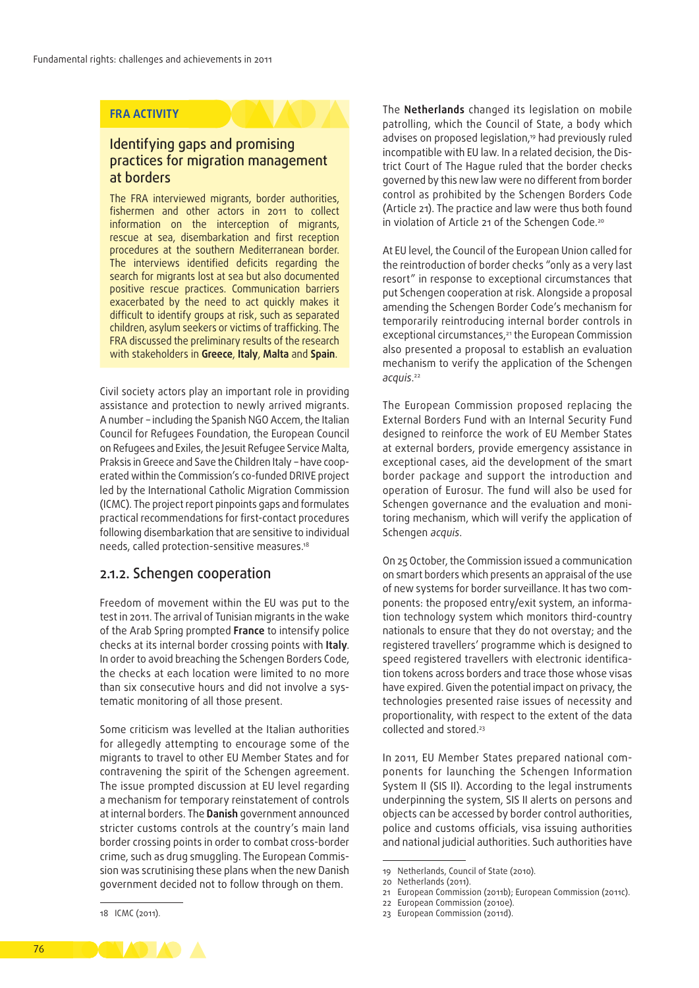#### **FRA ACTIVITY**

#### Identifying gaps and promising practices for migration management at borders

The FRA interviewed migrants, border authorities, fishermen and other actors in 2011 to collect information on the interception of migrants, rescue at sea, disembarkation and first reception procedures at the southern Mediterranean border. The interviews identified deficits regarding the search for migrants lost at sea but also documented positive rescue practices. Communication barriers exacerbated by the need to act quickly makes it difficult to identify groups at risk, such as separated children, asylum seekers or victims of trafficking. The FRA discussed the preliminary results of the research with stakeholders in **Greece**, **Italy**, **Malta** and **Spain**.

Civil society actors play an important role in providing assistance and protection to newly arrived migrants. A number – including the Spanish NGO Accem, the Italian Council for Refugees Foundation, the European Council on Refugees and Exiles, the Jesuit Refugee Service Malta, Praksis in Greece and Save the Children Italy - have cooperated within the Commission's co‑funded DRIVE project led by the International Catholic Migration Commission (ICMC). The project report pinpoints gaps and formulates practical recommendations for first‑contact procedures following disembarkation that are sensitive to individual needs, called protection-sensitive measures.<sup>18</sup>

#### 2.1.2. Schengen cooperation

Freedom of movement within the EU was put to the test in 2011. The arrival of Tunisian migrants in the wake of the Arab Spring prompted **France** to intensify police checks at its internal border crossing points with **Italy**. In order to avoid breaching the Schengen Borders Code, the checks at each location were limited to no more than six consecutive hours and did not involve a systematic monitoring of all those present.

Some criticism was levelled at the Italian authorities for allegedly attempting to encourage some of the migrants to travel to other EU Member States and for contravening the spirit of the Schengen agreement. The issue prompted discussion at EU level regarding a mechanism for temporary reinstatement of controls at internal borders. The **Danish** government announced stricter customs controls at the country's main land border crossing points in order to combat cross‑border crime, such as drug smuggling. The European Commission was scrutinising these plans when the new Danish government decided not to follow through on them.

The **Netherlands** changed its legislation on mobile patrolling, which the Council of State, a body which advises on proposed legislation.<sup>19</sup> had previously ruled incompatible with EU law. In a related decision, the District Court of The Hague ruled that the border checks governed by this new law were no different from border control as prohibited by the Schengen Borders Code (Article 21). The practice and law were thus both found in violation of Article 21 of the Schengen Code.<sup>20</sup>

At EU level, the Council of the European Union called for the reintroduction of border checks "only as a very last resort" in response to exceptional circumstances that put Schengen cooperation at risk. Alongside a proposal amending the Schengen Border Code's mechanism for temporarily reintroducing internal border controls in exceptional circumstances,<sup>21</sup> the European Commission also presented a proposal to establish an evaluation mechanism to verify the application of the Schengen *acquis*. 22

The European Commission proposed replacing the External Borders Fund with an Internal Security Fund designed to reinforce the work of EU Member States at external borders, provide emergency assistance in exceptional cases, aid the development of the smart border package and support the introduction and operation of Eurosur. The fund will also be used for Schengen governance and the evaluation and monitoring mechanism, which will verify the application of Schengen *acquis*.

On 25 October, the Commission issued a communication on smart borders which presents an appraisal of the use of new systems for border surveillance. It has two components: the proposed entry/exit system, an information technology system which monitors third‑country nationals to ensure that they do not overstay; and the registered travellers' programme which is designed to speed registered travellers with electronic identification tokens across borders and trace those whose visas have expired. Given the potential impact on privacy, the technologies presented raise issues of necessity and proportionality, with respect to the extent of the data collected and stored.<sup>23</sup>

In 2011, EU Member States prepared national components for launching the Schengen Information System II (SIS II). According to the legal instruments underpinning the system, SIS II alerts on persons and objects can be accessed by border control authorities, police and customs officials, visa issuing authorities and national judicial authorities. Such authorities have

<sup>19</sup> Netherlands, Council of State (2010).

<sup>20</sup> Netherlands (2011).

<sup>21</sup> European Commission (2011b); European Commission (2011c).

<sup>22</sup> European Commission (2010e).

<sup>23</sup> European Commission (2011d).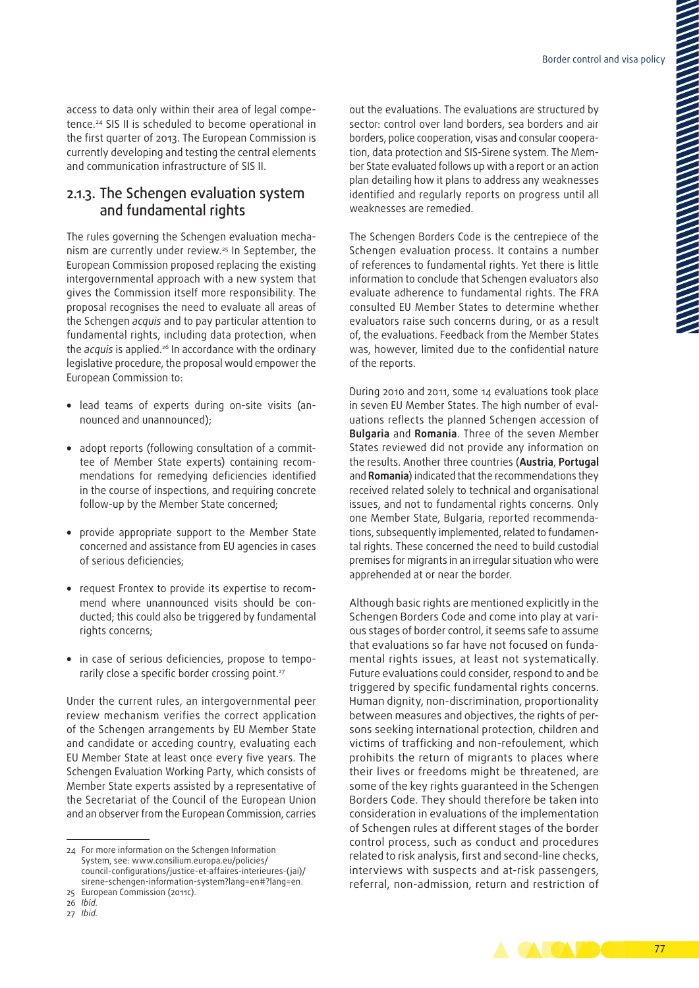access to data only within their area of legal competence.24 SIS II is scheduled to become operational in the first quarter of 2013. The European Commission is currently developing and testing the central elements and communication infrastructure of SIS II.

#### 2.1.3. The Schengen evaluation system and fundamental rights

The rules governing the Schengen evaluation mechanism are currently under review.25 In September, the European Commission proposed replacing the existing intergovernmental approach with a new system that gives the Commission itself more responsibility. The proposal recognises the need to evaluate all areas of the Schengen *acquis* and to pay particular attention to fundamental rights, including data protection, when the *acquis* is applied.<sup>26</sup> In accordance with the ordinary legislative procedure, the proposal would empower the European Commission to:

- lead teams of experts during on-site visits (announced and unannounced);
- adopt reports (following consultation of a committee of Member State experts) containing recommendations for remedying deficiencies identified in the course of inspections, and requiring concrete follow‑up by the Member State concerned;
- provide appropriate support to the Member State concerned and assistance from EU agencies in cases of serious deficiencies;
- request Frontex to provide its expertise to recommend where unannounced visits should be conducted; this could also be triggered by fundamental rights concerns;
- in case of serious deficiencies, propose to temporarily close a specific border crossing point.<sup>27</sup>

Under the current rules, an intergovernmental peer review mechanism verifies the correct application of the Schengen arrangements by EU Member State and candidate or acceding country, evaluating each EU Member State at least once every five years. The Schengen Evaluation Working Party, which consists of Member State experts assisted by a representative of the Secretariat of the Council of the European Union and an observer from the European Commission, carries

out the evaluations. The evaluations are structured by sector: control over land borders, sea borders and air borders, police cooperation, visas and consular cooperation, data protection and SIS-Sirene system. The Member State evaluated follows up with a report or an action plan detailing how it plans to address any weaknesses identified and regularly reports on progress until all weaknesses are remedied.

The Schengen Borders Code is the centrepiece of the Schengen evaluation process. It contains a number of references to fundamental rights. Yet there is little information to conclude that Schengen evaluators also evaluate adherence to fundamental rights. The FRA consulted EU Member States to determine whether evaluators raise such concerns during, or as a result of, the evaluations. Feedback from the Member States was, however, limited due to the confidential nature of the reports.

During 2010 and 2011, some 14 evaluations took place in seven EU Member States. The high number of evaluations reflects the planned Schengen accession of **Bulgaria** and **Romania**. Three of the seven Member States reviewed did not provide any information on the results. Another three countries (**Austria**, **Portugal** and **Romania**) indicated that the recommendations they received related solely to technical and organisational issues, and not to fundamental rights concerns. Only one Member State, Bulgaria, reported recommendations, subsequently implemented, related to fundamental rights. These concerned the need to build custodial premises for migrants in an irregular situation who were apprehended at or near the border.

Although basic rights are mentioned explicitly in the Schengen Borders Code and come into play at various stages of border control, it seems safe to assume that evaluations so far have not focused on fundamental rights issues, at least not systematically. Future evaluations could consider, respond to and be triggered by specific fundamental rights concerns. Human dignity, non‑discrimination, proportionality between measures and objectives, the rights of persons seeking international protection, children and victims of trafficking and non‑refoulement, which prohibits the return of migrants to places where their lives or freedoms might be threatened, are some of the key rights guaranteed in the Schengen Borders Code. They should therefore be taken into consideration in evaluations of the implementation of Schengen rules at different stages of the border control process, such as conduct and procedures related to risk analysis, first and second-line checks, interviews with suspects and at-risk passengers, referral, non‑admission, return and restriction of



<sup>24</sup> For more information on the Schengen Information System, see: www.consilium.europa.eu/policies/ council‑configurations/justice‑et‑affaires‑interieures-(jai)/ sirene-schengen-information-system?lang=en#?lang=en.

<sup>25</sup> European Commission (2011c).

<sup>26</sup> *Ibid.*

<sup>27</sup> *Ibid.*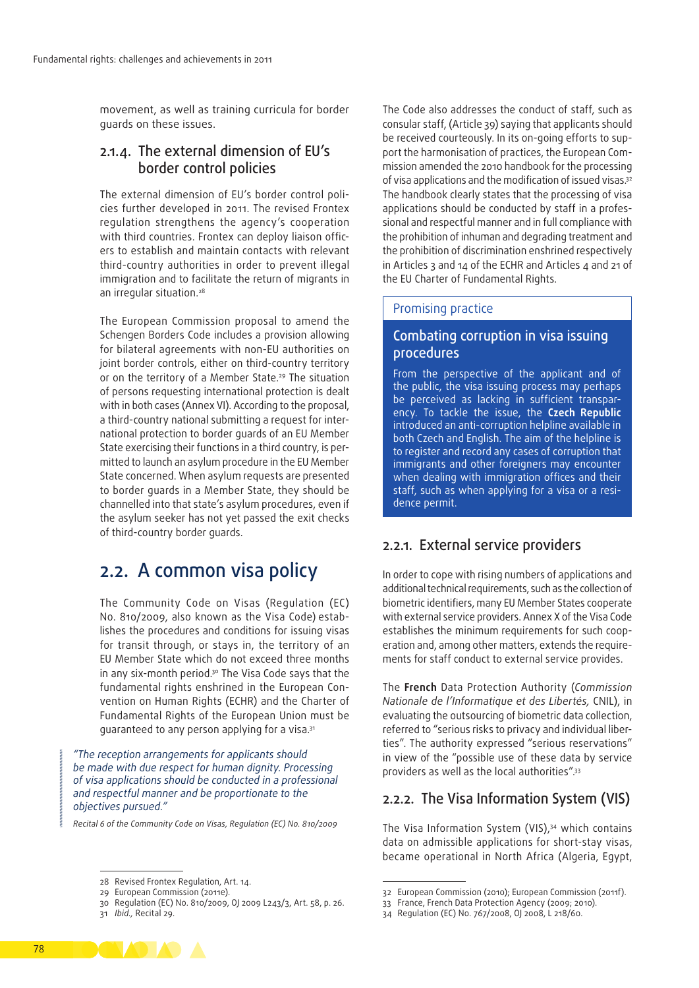movement, as well as training curricula for border guards on these issues.

#### 2.1.4. The external dimension of EU's border control policies

The external dimension of EU's border control policies further developed in 2011. The revised Frontex regulation strengthens the agency's cooperation with third countries. Frontex can deploy liaison officers to establish and maintain contacts with relevant third‑country authorities in order to prevent illegal immigration and to facilitate the return of migrants in an irregular situation.<sup>28</sup>

The European Commission proposal to amend the Schengen Borders Code includes a provision allowing for bilateral agreements with non‑EU authorities on joint border controls, either on third-country territory or on the territory of a Member State.<sup>29</sup> The situation of persons requesting international protection is dealt with in both cases (Annex VI). According to the proposal, a third-country national submitting a request for international protection to border guards of an EU Member State exercising their functions in a third country, is permitted to launch an asylum procedure in the EU Member State concerned. When asylum requests are presented to border guards in a Member State, they should be channelled into that state's asylum procedures, even if the asylum seeker has not yet passed the exit checks of third‑country border guards.

## 2.2. A common visa policy

The Community Code on Visas (Regulation (EC) No. 810/2009, also known as the Visa Code) establishes the procedures and conditions for issuing visas for transit through, or stays in, the territory of an EU Member State which do not exceed three months in any six‑month period.30 The Visa Code says that the fundamental rights enshrined in the European Convention on Human Rights (ECHR) and the Charter of Fundamental Rights of the European Union must be guaranteed to any person applying for a visa.31

*"The reception arrangements for applicants should be made with due respect for human dignity. Processing of visa applications should be conducted in a professional and respectful manner and be proportionate to the objectives pursued."*

*Recital 6 of the Community Code on Visas, Regulation (EC) No. 810/2009*

The Code also addresses the conduct of staff, such as consular staff, (Article 39) saying that applicants should be received courteously. In its on-going efforts to support the harmonisation of practices, the European Commission amended the 2010 handbook for the processing of visa applications and the modification of issued visas.32 The handbook clearly states that the processing of visa applications should be conducted by staff in a professional and respectful manner and in full compliance with the prohibition of inhuman and degrading treatment and the prohibition of discrimination enshrined respectively in Articles 3 and 14 of the ECHR and Articles 4 and 21 of the EU Charter of Fundamental Rights.

#### Promising practice

#### Combating corruption in visa issuing procedures

From the perspective of the applicant and of the public, the visa issuing process may perhaps be perceived as lacking in sufficient transparency. To tackle the issue, the **Czech Republic** introduced an anti-corruption helpline available in both Czech and English. The aim of the helpline is to register and record any cases of corruption that immigrants and other foreigners may encounter when dealing with immigration offices and their staff, such as when applying for a visa or a residence permit.

#### 2.2.1. External service providers

In order to cope with rising numbers of applications and additional technical requirements, such as the collection of biometric identifiers, many EU Member States cooperate with external service providers. Annex X of the Visa Code establishes the minimum requirements for such cooperation and, among other matters, extends the requirements for staff conduct to external service provides.

The **French** Data Protection Authority (*Commission Nationale de l'Informatique et des Libertés,* CNIL), in evaluating the outsourcing of biometric data collection, referred to "serious risks to privacy and individual liberties". The authority expressed "serious reservations" in view of the "possible use of these data by service providers as well as the local authorities".33

#### 2.2.2. The Visa Information System (VIS)

The Visa Information System (VIS),<sup>34</sup> which contains data on admissible applications for short-stay visas, became operational in North Africa (Algeria, Egypt,



<sup>28</sup> Revised Frontex Regulation, Art. 14.

<sup>29</sup> European Commission (2011e).

<sup>30</sup> Regulation (EC) No. 810/2009, OJ 2009 L243/3, Art. 58, p. 26. 31 *Ibid.,* Recital 29.

<sup>32</sup> European Commission (2010); European Commission (2011f).

<sup>33</sup> France, French Data Protection Agency (2009; 2010).

<sup>34</sup> Regulation (EC) No. 767/2008, OJ 2008, L 218/60.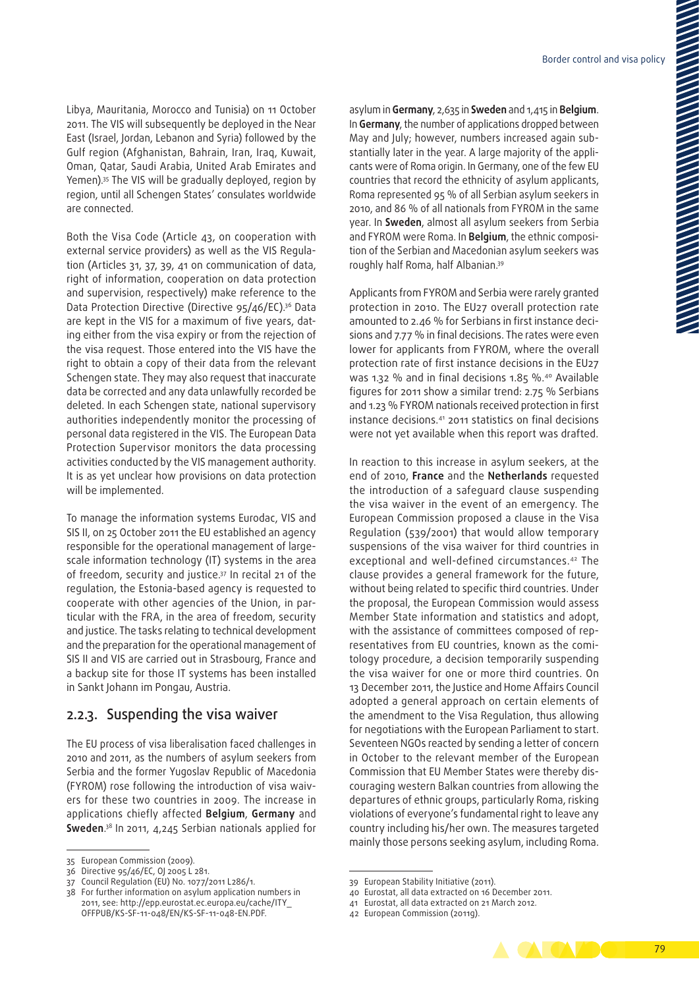Libya, Mauritania, Morocco and Tunisia) on 11 October 2011. The VIS will subsequently be deployed in the Near East (Israel, Jordan, Lebanon and Syria) followed by the Gulf region (Afghanistan, Bahrain, Iran, Iraq, Kuwait, Oman, Qatar, Saudi Arabia, United Arab Emirates and Yemen).<sup>35</sup> The VIS will be gradually deployed, region by region, until all Schengen States' consulates worldwide are connected.

Both the Visa Code (Article 43, on cooperation with external service providers) as well as the VIS Regulation (Articles 31, 37, 39, 41 on communication of data, right of information, cooperation on data protection and supervision, respectively) make reference to the Data Protection Directive (Directive 95/46/EC).<sup>36</sup> Data are kept in the VIS for a maximum of five years, dating either from the visa expiry or from the rejection of the visa request. Those entered into the VIS have the right to obtain a copy of their data from the relevant Schengen state. They may also request that inaccurate data be corrected and any data unlawfully recorded be deleted. In each Schengen state, national supervisory authorities independently monitor the processing of personal data registered in the VIS. The European Data Protection Supervisor monitors the data processing activities conducted by the VIS management authority. It is as yet unclear how provisions on data protection will be implemented.

To manage the information systems [Eurodac](http://ec.europa.eu/home-affairs/policies/asylum/asylum_identification_en.htm), VIS and SIS II, on 25 October 2011 the EU established an agency responsible for the operational management of largescale information technology (IT) systems in the area of freedom, security and justice.37 In recital 21 of the regulation, the Estonia‑based agency is requested to cooperate with other agencies of the Union, in particular with the FRA, in the area of freedom, security and justice. The tasks relating to technical development and the preparation for the operational management of SIS II and VIS are carried out in Strasbourg, France and a backup site for those IT systems has been installed in Sankt Johann im Pongau, Austria.

#### 2.2.3. Suspending the visa waiver

The EU process of visa liberalisation faced challenges in 2010 and 2011, as the numbers of asylum seekers from Serbia and the former Yugoslav Republic of Macedonia (FYROM) rose following the introduction of visa waiv‑ ers for these two countries in 2009. The increase in applications chiefly affected **Belgium**, **Germany** and **Sweden**. <sup>38</sup> In 2011, 4,245 Serbian nationals applied for

asylum in **Germany**, 2,635 in **Sweden** and 1,415 in **Belgium**. In **Germany**, the number of applications dropped between May and July: however, numbers increased again substantially later in the year. A large majority of the applicants were of Roma origin. In Germany, one of the few EU countries that record the ethnicity of asylum applicants, Roma represented 95 % of all Serbian asylum seekers in 2010, and 86 % of all nationals from FYROM in the same year. In **Sweden**, almost all asylum seekers from Serbia and FYROM were Roma. In **Belgium**, the ethnic composition of the Serbian and Macedonian asylum seekers was roughly half Roma, half Albanian.39

Applicants from FYROM and Serbia were rarely granted protection in 2010. The EU27 overall protection rate amounted to 2.46 % for Serbians in first instance decisions and 7.77 % in final decisions. The rates were even lower for applicants from FYROM, where the overall protection rate of first instance decisions in the EU27 was 1.32 % and in final decisions 1.85 %.40 Available figures for 2011 show a similar trend: 2.75 % Serbians and 1.23 % FYROM nationals received protection in first instance decisions.41 2011 statistics on final decisions were not yet available when this report was drafted.

In reaction to this increase in asylum seekers, at the end of 2010, **France** and the **Netherlands** requested the introduction of a safeguard clause suspending the visa waiver in the event of an emergency. The European Commission proposed a clause in the Visa Regulation (539/2001) that would allow temporary suspensions of the visa waiver for third countries in exceptional and well-defined circumstances.<sup>42</sup> The clause provides a general framework for the future, without being related to specific third countries. Under the proposal, the European Commission would assess Member State information and statistics and adopt, with the assistance of committees composed of representatives from EU countries, known as the comitology procedure, a decision temporarily suspending the visa waiver for one or more third countries. On 13 December 2011, the Justice and Home Affairs Council adopted a general approach on certain elements of the amendment to the Visa Regulation, thus allowing for negotiations with the European Parliament to start. Seventeen NGOs reacted by sending a letter of concern in October to the relevant member of the European Commission that EU Member States were thereby discouraging western Balkan countries from allowing the departures of ethnic groups, particularly Roma, risking violations of everyone's fundamental right to leave any country including his/her own. The measures targeted mainly those persons seeking asylum, including Roma.

<sup>42</sup> European Commission (2011g).



<sup>35</sup> European Commission (2009).

<sup>36</sup> Directive 95/46/EC, OJ 2005 L 281.

<sup>37</sup> Council Regulation (EU) No. 1077/2011 L286/1.

<sup>38</sup> For further information on asylum application numbers in 2011, see: [http://epp.eurostat.ec.europa.eu/cache/ITY\\_](http://epp.eurostat.ec.europa.eu/cache/ITY_OFFPUB/KS-SF-11-048/EN/KS-SF-11-048-EN.PDF) [OFFPUB/KS‑SF-11-048/EN/KS‑SF-11-048-EN.PDF](http://epp.eurostat.ec.europa.eu/cache/ITY_OFFPUB/KS-SF-11-048/EN/KS-SF-11-048-EN.PDF).

<sup>39</sup> European Stability Initiative (2011).

<sup>40</sup> Eurostat, all data extracted on 16 December 2011.

<sup>41</sup> Eurostat, all data extracted on 21 March 2012.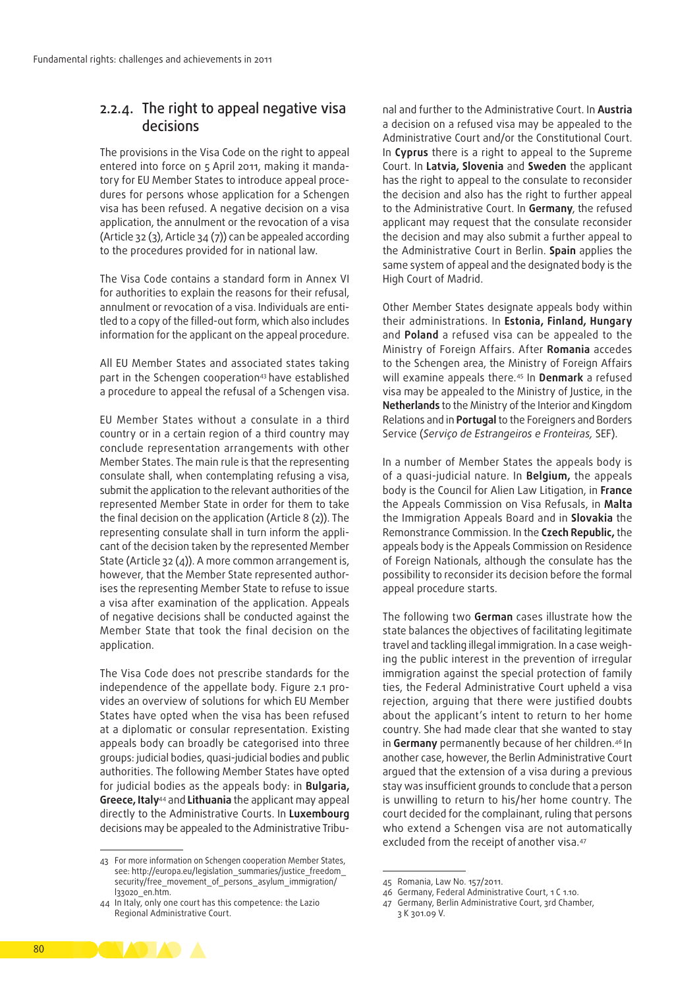#### 2.2.4. The right to appeal negative visa decisions

The provisions in the Visa Code on the right to appeal entered into force on 5 April 2011, making it mandatory for EU Member States to introduce appeal procedures for persons whose application for a Schengen visa has been refused. A negative decision on a visa application, the annulment or the revocation of a visa (Article 32 (3), Article 34 (7)) can be appealed according to the procedures provided for in national law.

The Visa Code contains a standard form in Annex VI for authorities to explain the reasons for their refusal, annulment or revocation of a visa. Individuals are entitled to a copy of the filled‑out form, which also includes information for the applicant on the appeal procedure.

All EU Member States and associated states taking part in the Schengen cooperation<sup>43</sup> have established a procedure to appeal the refusal of a Schengen visa.

EU Member States without a consulate in a third country or in a certain region of a third country may conclude representation arrangements with other Member States. The main rule is that the representing consulate shall, when contemplating refusing a visa, submit the application to the relevant authorities of the represented Member State in order for them to take the final decision on the application (Article 8 (2)). The representing consulate shall in turn inform the applicant of the decision taken by the represented Member State (Article 32 (4)). A more common arrangement is, however, that the Member State represented authorises the representing Member State to refuse to issue a visa after examination of the application. Appeals of negative decisions shall be conducted against the Member State that took the final decision on the application.

The Visa Code does not prescribe standards for the independence of the appellate body. Figure 2.1 provides an overview of solutions for which EU Member States have opted when the visa has been refused at a diplomatic or consular representation. Existing appeals body can broadly be categorised into three groups: judicial bodies, quasi‑judicial bodies and public authorities. The following Member States have opted for judicial bodies as the appeals body: in **Bulgaria, Greece, Italy**<sup>44</sup> and **Lithuania** the applicant may appeal directly to the Administrative Courts. In **Luxembourg** decisions may be appealed to the Administrative Tribunal and further to the Administrative Court. In **Austria** a decision on a refused visa may be appealed to the Administrative Court and/or the Constitutional Court. In **Cyprus** there is a right to appeal to the Supreme Court. In **Latvia, Slovenia** and **Sweden** the applicant has the right to appeal to the consulate to reconsider the decision and also has the right to further appeal to the Administrative Court. In **Germany**, the refused applicant may request that the consulate reconsider the decision and may also submit a further appeal to the Administrative Court in Berlin. **Spain** applies the same system of appeal and the designated body is the High Court of Madrid.

Other Member States designate appeals body within their administrations. In **Estonia, Finland, Hungary** and **Poland** a refused visa can be appealed to the Ministry of Foreign Affairs. After **Romania** accedes to the Schengen area, the Ministry of Foreign Affairs will examine appeals there.45 In **Denmark** a refused visa may be appealed to the Ministry of Justice, in the **Netherlands** to the Ministry of the Interior and Kingdom Relations and in **Portugal** to the Foreigners and Borders Service (*Serviço de Estrangeiros e Fronteiras,* SEF).

In a number of Member States the appeals body is of a quasi‑judicial nature. In **Belgium,** the appeals body is the Council for Alien Law Litigation, in **France** the Appeals Commission on Visa Refusals, in **Malta** the Immigration Appeals Board and in **Slovakia** the Remonstrance Commission. In the **Czech Republic,** the appeals body is the Appeals Commission on Residence of Foreign Nationals, although the consulate has the possibility to reconsider its decision before the formal appeal procedure starts.

The following two **German** cases illustrate how the state balances the objectives of facilitating legitimate travel and tackling illegal immigration. In a case weighing the public interest in the prevention of irregular immigration against the special protection of family ties, the Federal Administrative Court upheld a visa rejection, arguing that there were justified doubts about the applicant's intent to return to her home country. She had made clear that she wanted to stay in **Germany** permanently because of her children.46 In another case, however, the Berlin Administrative Court argued that the extension of a visa during a previous stay was insufficient grounds to conclude that a person is unwilling to return to his/her home country. The court decided for the complainant, ruling that persons who extend a Schengen visa are not automatically excluded from the receipt of another visa.<sup>47</sup>



<sup>43</sup> For more information on Schengen cooperation Member States, see: [http://europa.eu/legislation\\_summaries/justice\\_freedom\\_](http://europa.eu/legislation_summaries/justice_freedom_security/free_movement_of_persons_asylum_immigration/l33020_en.htm) [security/free\\_movement\\_of\\_persons\\_asylum\\_immigration/](http://europa.eu/legislation_summaries/justice_freedom_security/free_movement_of_persons_asylum_immigration/l33020_en.htm) [l33020\\_en.htm](http://europa.eu/legislation_summaries/justice_freedom_security/free_movement_of_persons_asylum_immigration/l33020_en.htm).

<sup>44</sup> In Italy, only one court has this competence: the Lazio Regional Administrative Court.

<sup>45</sup> Romania, Law No. 157/2011.

<sup>46</sup> Germany, Federal Administrative Court, 1 C 1.10.

<sup>47</sup> Germany, Berlin Administrative Court, 3rd Chamber, 3 K 301.09 V.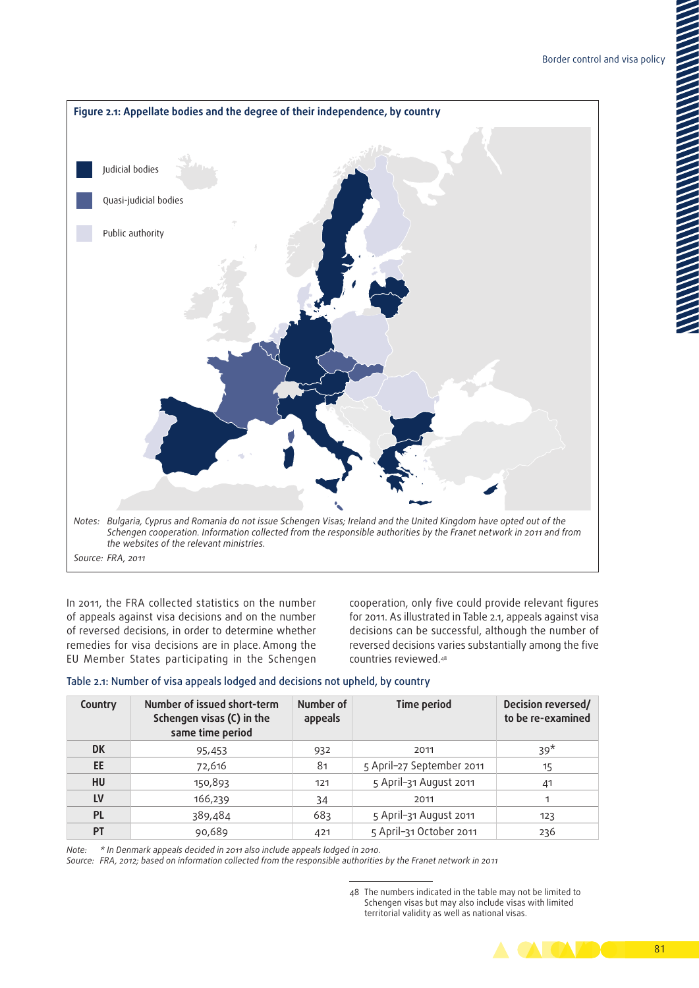

In 2011, the FRA collected statistics on the number of appeals against visa decisions and on the number of reversed decisions, in order to determine whether remedies for visa decisions are in place. Among the EU Member States participating in the Schengen

cooperation, only five could provide relevant figures for 2011. As illustrated in Table 2.1, appeals against visa decisions can be successful, although the number of reversed decisions varies substantially among the five countries reviewed.48

#### Table 2.1: Number of visa appeals lodged and decisions not upheld, by country

| Country   | Number of issued short-term<br>Schengen visas (C) in the<br>same time period | Number of<br>appeals | <b>Time period</b>        | Decision reversed/<br>to be re-examined |
|-----------|------------------------------------------------------------------------------|----------------------|---------------------------|-----------------------------------------|
| <b>DK</b> | 95,453                                                                       | 932                  | 2011                      | $39*$                                   |
| <b>EE</b> | 72,616                                                                       | 81                   | 5 April-27 September 2011 | 15                                      |
| HU        | 150,893                                                                      | 121                  | 5 April-31 August 2011    | 41                                      |
| LV        | 166,239                                                                      | 34                   | 2011                      |                                         |
| <b>PL</b> | 389,484                                                                      | 683                  | 5 April-31 August 2011    | 123                                     |
| PT        | 90,689                                                                       | 421                  | 5 April-31 October 2011   | 236                                     |

*Note: \* In Denmark appeals decided in 2011 also include appeals lodged in 2010.*

*Source: FRA, 2012; based on information collected from the responsible authorities by the Franet network in 2011*

<sup>48</sup> The numbers indicated in the table may not be limited to Schengen visas but may also include visas with limited territorial validity as well as national visas.

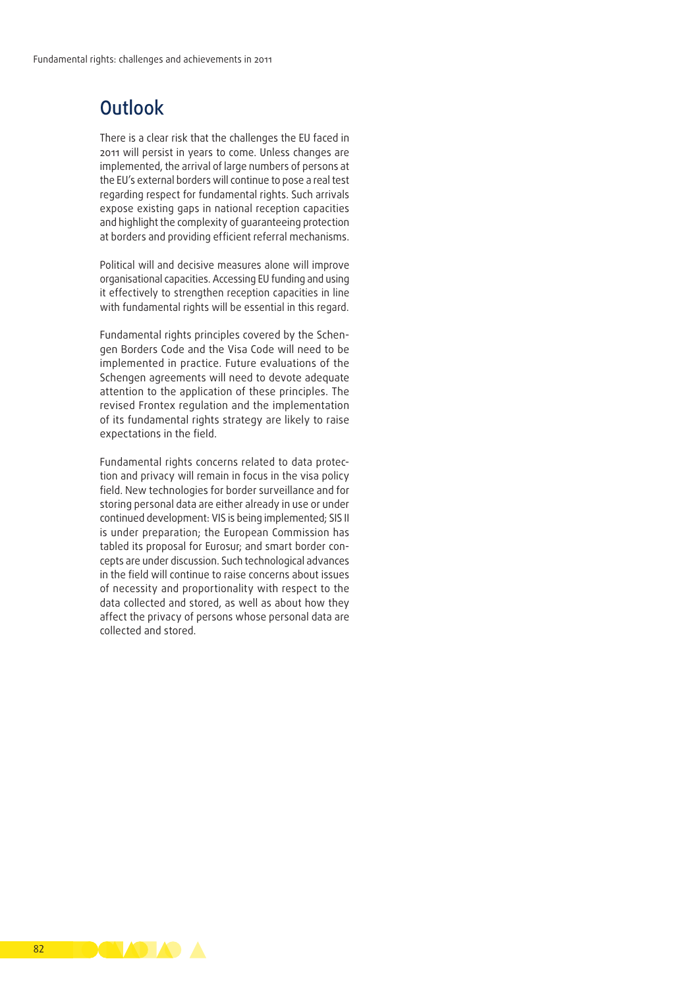# **Outlook**

There is a clear risk that the challenges the EU faced in 2011 will persist in years to come. Unless changes are implemented, the arrival of large numbers of persons at the EU's external borders will continue to pose a real test regarding respect for fundamental rights. Such arrivals expose existing gaps in national reception capacities and highlight the complexity of guaranteeing protection at borders and providing efficient referral mechanisms.

Political will and decisive measures alone will improve organisational capacities. Accessing EU funding and using it effectively to strengthen reception capacities in line with fundamental rights will be essential in this regard.

Fundamental rights principles covered by the Schengen Borders Code and the Visa Code will need to be implemented in practice. Future evaluations of the Schengen agreements will need to devote adequate attention to the application of these principles. The revised Frontex regulation and the implementation of its fundamental rights strategy are likely to raise expectations in the field.

Fundamental rights concerns related to data protection and privacy will remain in focus in the visa policy field. New technologies for border surveillance and for storing personal data are either already in use or under continued development: VIS is being implemented; SIS II is under preparation; the European Commission has tabled its proposal for Eurosur; and smart border concepts are under discussion. Such technological advances in the field will continue to raise concerns about issues of necessity and proportionality with respect to the data collected and stored, as well as about how they affect the privacy of persons whose personal data are collected and stored.

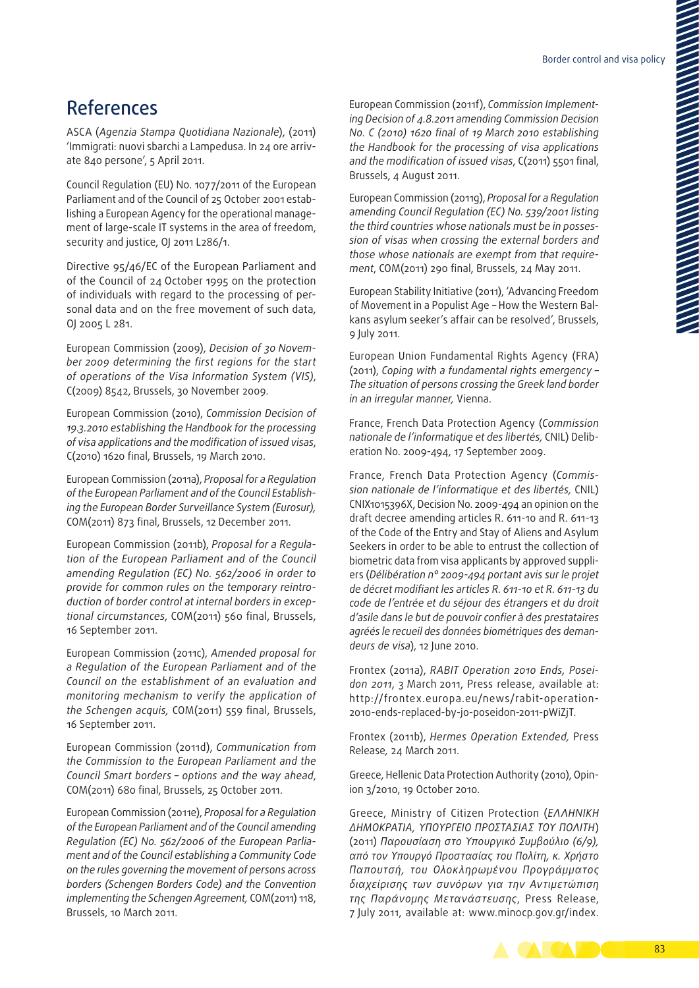# References

ASCA (*Agenzia Stampa Quotidiana Nazionale*), (2011) 'Immigrati: nuovi sbarchi a Lampedusa. In 24 ore arrivate 840 persone', 5 April 2011.

Council Regulation (EU) No. 1077/2011 of the European Parliament and of the Council of 25 October 2001 establishing a European Agency for the operational management of large‑scale IT systems in the area of freedom, security and justice, 0J 2011 L286/1.

Directive 95/46/EC of the European Parliament and of the Council of 24 October 1995 on the protection of individuals with regard to the processing of personal data and on the free movement of such data, OJ 2005 L 281.

European Commission (2009), *Decision of 30 Novem‑ ber 2009 determining the first regions for the start of operations of the Visa Information System (VIS)*, C(2009) 8542, Brussels, 30 November 2009.

European Commission (2010), *Commission Decision of 19.3.2010 establishing the Handbook for the processing of visa applications and the modification of issued visas*, C(2010) 1620 final, Brussels, 19 March 2010.

European Commission (2011a), *Proposal for a Regulation of the European Parliament and of the Council Establish‑ ing the European Border Surveillance System (Eurosur),* COM(2011) 873 final, Brussels, 12 December 2011.

European Commission (2011b), *Proposal for a Regula‑ tion of the European Parliament and of the Council amending Regulation (EC) No. 562/2006 in order to provide for common rules on the temporary reintro‑ duction of border control at internal borders in excep‑ tional circumstances*, COM(2011) 560 final, Brussels, 16 September 2011.

European Commission (2011c), *Amended proposal for a Regulation of the European Parliament and of the Council on the establishment of an evaluation and monitoring mechanism to verify the application of the Schengen acquis,* COM(2011) 559 final, Brussels, 16 September 2011.

European Commission (2011d), *Communication from the Commission to the European Parliament and the Council Smart borders – options and the way ahead*, COM(2011) 680 final, Brussels, 25 October 2011.

European Commission (2011e), *Proposal for a Regulation of the European Parliament and of the Council amending Regulation (EC) No. 562/2006 of the European Parlia‑ ment and of the Council establishing a Community Code on the rules governing the movement of persons across borders (Schengen Borders Code) and the Convention implementing the Schengen Agreement,* COM(2011) 118, Brussels, 10 March 2011.

European Commission (2011f), *Commission Implement‑ ing Decision of 4.8.2011 amending Commission Decision No. C (2010) 1620 final of 19 March 2010 establishing the Handbook for the processing of visa applications and the modification of issued visas*, C(2011) 5501 final, Brussels, 4 August 2011.

European Commission (2011g), *Proposal for a Regulation amending Council Regulation (EC) No. 539/2001 listing the third countries whose nationals must be in posses‑ sion of visas when crossing the external borders and those whose nationals are exempt from that require‑ ment*, COM(2011) 290 final, Brussels, 24 May 2011.

European Stability Initiative (2011), 'Advancing Freedom of Movement in a Populist Age - How the Western Balkans asylum seeker's affair can be resolved', Brussels, 9 July 2011.

European Union Fundamental Rights Agency (FRA) (2011), *Coping with a fundamental rights emergency – The situation of persons crossing the Greek land border in an irregular manner,* Vienna.

France, French Data Protection Agency (*Commission nationale de l'informatique et des libertés,* CNIL) Delib‑ eration No. 2009-494, 17 September 2009.

France, French Data Protection Agency (*Commis‑ sion nationale de l'informatique et des libertés,* CNIL) CNIX1015396X, Decision No. 2009-494 an opinion on the draft decree amending articles R. 611-10 and R. 611-13 of the Code of the Entry and Stay of Aliens and Asylum Seekers in order to be able to entrust the collection of biometric data from visa applicants by approved suppliers (*Délibération n° 2009-494 portant avis sur le projet de décret modifiant les articles R. 611-10 et R. 611-13 du code de l'entrée et du séjour des étrangers et du droit d'asile dans le but de pouvoir confier à des prestataires agréés le recueil des données biométriques des deman‑ deurs de visa*), 12 June 2010.

Frontex (2011a), *RABIT Operation 2010 Ends, Posei‑ don 2011*, 3 March 2011, Press release, available at: [http://frontex.europa.eu/news/rabit‑operation-](http://frontex.europa.eu/news/rabit-operation-2010-ends-replaced-by-jo-poseidon-2011-pWiZjT)[2010-ends‑replaced‑by‑jo‑poseidon-2011-pWiZjT.](http://frontex.europa.eu/news/rabit-operation-2010-ends-replaced-by-jo-poseidon-2011-pWiZjT)

Frontex (2011b), *Hermes Operation Extended,* Press Release*,* 24 March 2011.

Greece, Hellenic Data Protection Authority (2010), Opinion 3/2010, 19 October 2010.

Greece, Ministry of Citizen Protection (*ΕΛΛΗΝΙΚΗ ΔΗΜΟΚΡΑΤΙΑ, ΥΠΟΥΡΓΕΙΟ ΠΡΟΣΤΑΣΙΑΣ ΤΟΥ ΠΟΛΙΤΗ*) (2011) *Παρουσίαση στο Υπουργικό Συμβούλιο (6/9), από τον Υπουργό Προστασίας του Πολίτη, κ. Χρήστο Παπουτσή, του Ολοκληρωμένου Προγράμματος διαχείρισης των συνόρων για την Αντιμετώπιση της Παράνομης Μετανάστευσης*, Press Release, 7 July 2011, available at: [www.minocp.gov.gr/index.](http://www.minocp.gov.gr/index.php?option=ozo_content&lang=&perform=view&id=3790&Itemid=513)

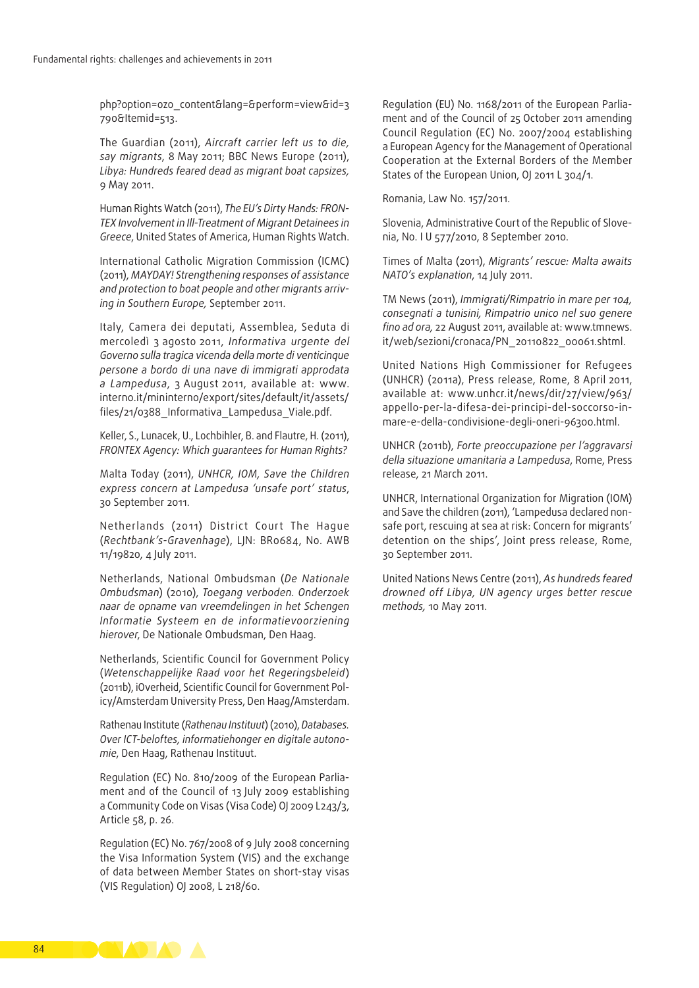[php?option=ozo\\_content&lang=&perform=view&id=3](http://www.minocp.gov.gr/index.php?option=ozo_content&lang=&perform=view&id=3790&Itemid=513) [790&Itemid=513](http://www.minocp.gov.gr/index.php?option=ozo_content&lang=&perform=view&id=3790&Itemid=513).

The Guardian (2011), *Aircraft carrier left us to die, say migrants*, 8 May 2011; BBC News Europe (2011), *Libya: Hundreds feared dead as migrant boat capsizes,*  9 May 2011.

Human Rights Watch (2011), *The EU's Dirty Hands: FRON‑ TEX Involvement in Ill‑Treatment of Migrant Detainees in Greece*, United States of America, Human Rights Watch.

International Catholic Migration Commission (ICMC) (2011), *MAYDAY! Strengthening responses of assistance and protection to boat people and other migrants arriv‑ ing in Southern Europe,* September 2011.

Italy, Camera dei deputati, Assemblea, Seduta di mercoledì 3 agosto 2011, *Informativa urgente del Governo sulla tragica vicenda della morte di venticinque persone a bordo di una nave di immigrati approdata a Lampedusa*, 3 August 2011, available at: [www.](http://www.interno.it/mininterno/export/sites/default/it/assets/files/21/0388_Informativa_Lampedusa_Viale.pdf) [interno.it/mininterno/export/sites/default/it/assets/](http://www.interno.it/mininterno/export/sites/default/it/assets/files/21/0388_Informativa_Lampedusa_Viale.pdf) [files/21/0388\\_Informativa\\_Lampedusa\\_Viale.pdf.](http://www.interno.it/mininterno/export/sites/default/it/assets/files/21/0388_Informativa_Lampedusa_Viale.pdf)

Keller, S., Lunacek, U., Lochbihler, B. and Flautre, H. (2011), *FRONTEX Agency: Which guarantees for Human Rights?*

Malta Today (2011), *UNHCR, IOM, Save the Children express concern at Lampedusa 'unsafe port' status*, 30 September 2011.

Netherlands (2011) District Court The Hague (*Rechtbank's‑Gravenhage*), LJN: BR0684, No. AWB 11/19820, 4 July 2011.

Netherlands, National Ombudsman (*De Nationale Ombudsman*) (2010), *Toegang verboden. Onderzoek naar de opname van vreemdelingen in het Schengen Informatie Systeem en de informatievoorziening hierover*, De Nationale Ombudsman, Den Haag.

Netherlands, Scientific Council for Government Policy (*Wetenschappelijke Raad voor het Regeringsbeleid*) (2011b), iOverheid, Scientific Council for Government Policy/Amsterdam University Press, Den Haag/Amsterdam.

Rathenau Institute (*Rathenau Instituut*) (2010), *Databases. Over ICT-beloftes, informatiehonger en digitale autono‑ mie*, Den Haag, Rathenau Instituut.

Regulation (EC) No. 810/2009 of the European Parliament and of the Council of 13 July 2009 establishing a Community Code on Visas (Visa Code) OJ 2009 L243/3, Article 58, p. 26.

Regulation (EC) No. 767/2008 of 9 July 2008 concerning the Visa Information System (VIS) and the exchange of data between Member States on short-stay visas (VIS Regulation) OJ 2008, L 218/60.

Regulation (EU) No. 1168/2011 of the European Parliament and of the Council of 25 October 2011 amending Council Regulation (EC) No. 2007/2004 establishing a European Agency for the Management of Operational Cooperation at the External Borders of the Member States of the European Union, OJ 2011 L 304/1.

Romania, Law No. 157/2011.

Slovenia, Administrative Court of the Republic of Slovenia, No. I U 577/2010, 8 September 2010.

Times of Malta (2011), *Migrants' rescue: Malta awaits NATO's explanation*, 14 July 2011.

TM News (2011), *Immigrati/Rimpatrio in mare per 104, consegnati a tunisini, Rimpatrio unico nel suo genere fino ad ora,* 22 August 2011, available at: [www.tmnews.](http://www.tmnews.it/web/sezioni/cronaca/PN_20110822_00061.shtml) [it/web/sezioni/cronaca/PN\\_20110822\\_00061.shtml.](http://www.tmnews.it/web/sezioni/cronaca/PN_20110822_00061.shtml)

United Nations High Commissioner for Refugees (UNHCR) (2011a), Press release, Rome, 8 April 2011, available at: [www.unhcr.it/news/dir/27/view/963/](http://www.unhcr.it/news/dir/27/view/963/appello<2011>per<2011>la<2011>difesa<2011>dei<2011>principi<2011>del<2011>soccorso<2011>in<2011>mare<2011>e<2011>della<2011>condivisione<2011>degli<2011>oneri-96300.html) [appello-per-la-difesa-dei-principi-del-soccorso-in](http://www.unhcr.it/news/dir/27/view/963/appello<2011>per<2011>la<2011>difesa<2011>dei<2011>principi<2011>del<2011>soccorso<2011>in<2011>mare<2011>e<2011>della<2011>condivisione<2011>degli<2011>oneri-96300.html)[mare-e-della-condivisione-degli-oneri-96300.html.](http://www.unhcr.it/news/dir/27/view/963/appello<2011>per<2011>la<2011>difesa<2011>dei<2011>principi<2011>del<2011>soccorso<2011>in<2011>mare<2011>e<2011>della<2011>condivisione<2011>degli<2011>oneri-96300.html)

UNHCR (2011b), *Forte preoccupazione per l'aggravarsi della situazione umanitaria a Lampedusa*, Rome, Press release, 21 March 2011.

UNHCR, International Organization for Migration (IOM) and Save the children (2011), 'Lampedusa declared nonsafe port, rescuing at sea at risk: Concern for migrants' detention on the ships', Joint press release, Rome, 30 September 2011.

United Nations News Centre (2011), *As hundreds feared drowned off Libya, UN agency urges better rescue methods,* 10 May 2011.